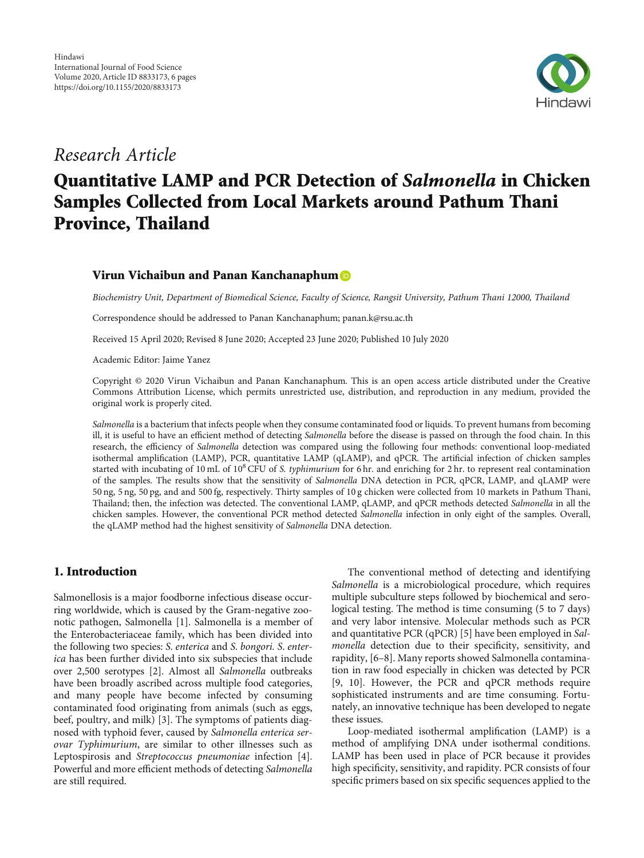

## Research Article

# Quantitative LAMP and PCR Detection of Salmonella in Chicken Samples Collected from Local Markets around Pathum Thani Province, Thailand

## Virun Vichaibun and Panan Kanchanaphum

Biochemistry Unit, Department of Biomedical Science, Faculty of Science, Rangsit University, Pathum Thani 12000, Thailand

Correspondence should be addressed to Panan Kanchanaphum; panan.k@rsu.ac.th

Received 15 April 2020; Revised 8 June 2020; Accepted 23 June 2020; Published 10 July 2020

Academic Editor: Jaime Yanez

Copyright © 2020 Virun Vichaibun and Panan Kanchanaphum. This is an open access article distributed under the [Creative](https://creativecommons.org/licenses/by/4.0/) [Commons Attribution License,](https://creativecommons.org/licenses/by/4.0/) which permits unrestricted use, distribution, and reproduction in any medium, provided the original work is properly cited.

Salmonella is a bacterium that infects people when they consume contaminated food or liquids. To prevent humans from becoming ill, it is useful to have an efficient method of detecting *Salmonella* before the disease is passed on through the food chain. In this research, the efficiency of Salmonella detection was compared using the following four methods: conventional loop-mediated isothermal amplification (LAMP), PCR, quantitative LAMP (qLAMP), and qPCR. The artificial infection of chicken samples started with incubating of 10 mL of 10 $^8$  CFU of S. typhimurium for 6 hr. and enriching for 2 hr. to represent real contamination of the samples. The results show that the sensitivity of Salmonella DNA detection in PCR, qPCR, LAMP, and qLAMP were 50 ng, 5 ng, 50 pg, and and 500 fg, respectively. Thirty samples of 10 g chicken were collected from 10 markets in Pathum Thani, Thailand; then, the infection was detected. The conventional LAMP, qLAMP, and qPCR methods detected Salmonella in all the chicken samples. However, the conventional PCR method detected Salmonella infection in only eight of the samples. Overall, the qLAMP method had the highest sensitivity of Salmonella DNA detection.

## 1. Introduction

Salmonellosis is a major foodborne infectious disease occurring worldwide, which is caused by the Gram-negative zoonotic pathogen, Salmonella [\[1](#page-4-0)]. Salmonella is a member of the Enterobacteriaceae family, which has been divided into the following two species: S. enterica and S. bongori. S. enterica has been further divided into six subspecies that include over 2,500 serotypes [\[2](#page-4-0)]. Almost all Salmonella outbreaks have been broadly ascribed across multiple food categories, and many people have become infected by consuming contaminated food originating from animals (such as eggs, beef, poultry, and milk) [[3](#page-4-0)]. The symptoms of patients diagnosed with typhoid fever, caused by Salmonella enterica serovar Typhimurium, are similar to other illnesses such as Leptospirosis and Streptococcus pneumoniae infection [[4](#page-4-0)]. Powerful and more efficient methods of detecting Salmonella are still required.

The conventional method of detecting and identifying Salmonella is a microbiological procedure, which requires multiple subculture steps followed by biochemical and serological testing. The method is time consuming (5 to 7 days) and very labor intensive. Molecular methods such as PCR and quantitative PCR (qPCR) [[5\]](#page-4-0) have been employed in Salmonella detection due to their specificity, sensitivity, and rapidity, [[6](#page-4-0)–[8\]](#page-4-0). Many reports showed Salmonella contamination in raw food especially in chicken was detected by PCR [\[9](#page-4-0), [10\]](#page-4-0). However, the PCR and qPCR methods require sophisticated instruments and are time consuming. Fortunately, an innovative technique has been developed to negate these issues.

Loop-mediated isothermal amplification (LAMP) is a method of amplifying DNA under isothermal conditions. LAMP has been used in place of PCR because it provides high specificity, sensitivity, and rapidity. PCR consists of four specific primers based on six specific sequences applied to the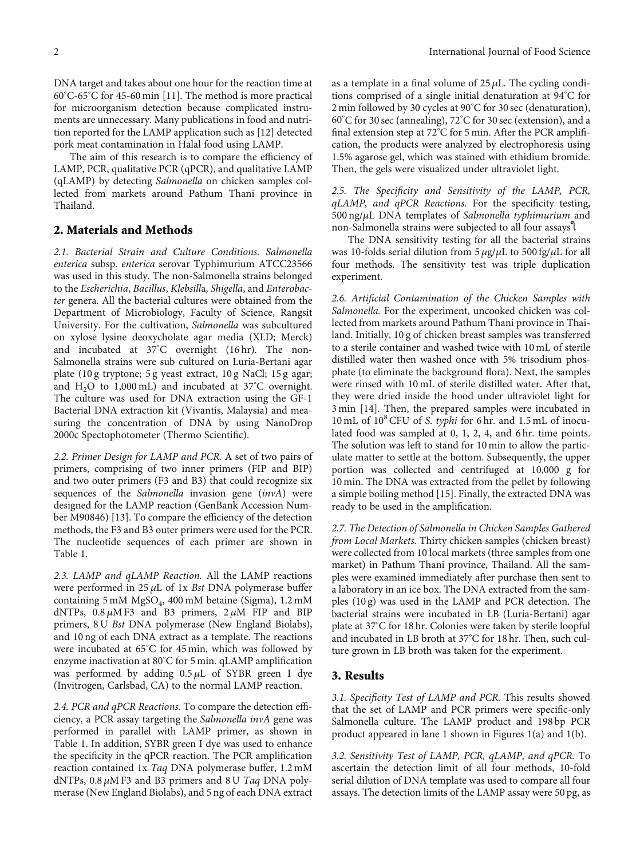DNA target and takes about one hour for the reaction time at 60° C-65° C for 45-60 min [[11](#page-4-0)]. The method is more practical for microorganism detection because complicated instruments are unnecessary. Many publications in food and nutrition reported for the LAMP application such as [[12](#page-4-0)] detected pork meat contamination in Halal food using LAMP.

The aim of this research is to compare the efficiency of LAMP, PCR, qualitative PCR (qPCR), and qualitative LAMP (qLAMP) by detecting Salmonella on chicken samples collected from markets around Pathum Thani province in Thailand.

#### 2. Materials and Methods

2.1. Bacterial Strain and Culture Conditions. Salmonella enterica subsp. enterica serovar Typhimurium ATCC23566 was used in this study. The non-Salmonella strains belonged to the Escherichia, Bacillus, Klebsilla, Shigella, and Enterobacter genera. All the bacterial cultures were obtained from the Department of Microbiology, Faculty of Science, Rangsit University. For the cultivation, Salmonella was subcultured on xylose lysine deoxycholate agar media (XLD; Merck) and incubated at 37° C overnight (16 hr). The non-Salmonella strains were sub cultured on Luria-Bertani agar plate (10 g tryptone; 5 g yeast extract, 10 g NaCl; 15 g agar; and  $H_2O$  to 1,000 mL) and incubated at 37°C overnight. The culture was used for DNA extraction using the GF-1 Bacterial DNA extraction kit (Vivantis, Malaysia) and measuring the concentration of DNA by using NanoDrop 2000c Spectophotometer (Thermo Scientific).

2.2. Primer Design for LAMP and PCR. A set of two pairs of primers, comprising of two inner primers (FIP and BIP) and two outer primers (F3 and B3) that could recognize six sequences of the Salmonella invasion gene (invA) were designed for the LAMP reaction (GenBank Accession Number M90846) [\[13\]](#page-4-0). To compare the efficiency of the detection methods, the F3 and B3 outer primers were used for the PCR. The nucleotide sequences of each primer are shown in Table [1.](#page-2-0)

2.3. LAMP and qLAMP Reaction. All the LAMP reactions were performed in 25 *μ*L of 1x Bst DNA polymerase buffer containing 5 mM MgSO<sub>4</sub>, 400 mM betaine (Sigma), 1.2 mM dNTPs, 0.8 *μ*M F3 and B3 primers, 2 *μ*M FIP and BIP primers, 8 U Bst DNA polymerase (New England Biolabs), and 10 ng of each DNA extract as a template. The reactions were incubated at 65° C for 45 min, which was followed by enzyme inactivation at 80° C for 5 min. qLAMP amplification was performed by adding 0.5 *μ*L of SYBR green I dye (Invitrogen, Carlsbad, CA) to the normal LAMP reaction.

2.4. PCR and qPCR Reactions. To compare the detection efficiency, a PCR assay targeting the Salmonella invA gene was performed in parallel with LAMP primer, as shown in Table [1.](#page-2-0) In addition, SYBR green I dye was used to enhance the specificity in the qPCR reaction. The PCR amplification reaction contained 1x Taq DNA polymerase buffer, 1.2 mM dNTPs, 0.8 *μ*M F3 and B3 primers and 8 U Taq DNA polymerase (New England Biolabs), and 5 ng of each DNA extract

as a template in a final volume of  $25 \mu L$ . The cycling conditions comprised of a single initial denaturation at 94° C for 2 min followed by 30 cycles at 90° C for 30 sec (denaturation), 60° C for 30 sec (annealing), 72° C for 30 sec (extension), and a final extension step at 72° C for 5 min. After the PCR amplification, the products were analyzed by electrophoresis using 1.5% agarose gel, which was stained with ethidium bromide. Then, the gels were visualized under ultraviolet light.

2.5. The Specificity and Sensitivity of the LAMP, PCR, qLAMP, and qPCR Reactions. For the specificity testing, 500 ng/*μ*L DNA templates of Salmonella typhimurium and non-Salmonella strains were subjected to all four assaysใ

The DNA sensitivity testing for all the bacterial strains was 10-folds serial dilution from 5 *μ*g/*μ*L to 500 fg/*μ*L for all four methods. The sensitivity test was triple duplication experiment.

2.6. Artificial Contamination of the Chicken Samples with Salmonella. For the experiment, uncooked chicken was collected from markets around Pathum Thani province in Thailand. Initially, 10 g of chicken breast samples was transferred to a sterile container and washed twice with 10 mL of sterile distilled water then washed once with 5% trisodium phosphate (to eliminate the background flora). Next, the samples were rinsed with 10 mL of sterile distilled water. After that, they were dried inside the hood under ultraviolet light for 3 min [[14](#page-4-0)]. Then, the prepared samples were incubated in 10 mL of  $10^8$  CFU of S. typhi for 6 hr. and 1.5 mL of inoculated food was sampled at 0, 1, 2, 4, and 6 hr. time points. The solution was left to stand for 10 min to allow the particulate matter to settle at the bottom. Subsequently, the upper portion was collected and centrifuged at 10,000 g for 10 min. The DNA was extracted from the pellet by following a simple boiling method [[15](#page-5-0)]. Finally, the extracted DNA was ready to be used in the amplification.

2.7. The Detection of Salmonella in Chicken Samples Gathered from Local Markets. Thirty chicken samples (chicken breast) were collected from 10 local markets (three samples from one market) in Pathum Thani province, Thailand. All the samples were examined immediately after purchase then sent to a laboratory in an ice box. The DNA extracted from the samples (10 g) was used in the LAMP and PCR detection. The bacterial strains were incubated in LB (Luria-Bertani) agar plate at 37° C for 18 hr. Colonies were taken by sterile loopful and incubated in LB broth at 37° C for 18 hr. Then, such culture grown in LB broth was taken for the experiment.

### 3. Results

3.1. Specificity Test of LAMP and PCR. This results showed that the set of LAMP and PCR primers were specific-only Salmonella culture. The LAMP product and 198 bp PCR product appeared in lane 1 shown in Figures [1\(a\)](#page-2-0) and [1\(b\)](#page-2-0).

3.2. Sensitivity Test of LAMP, PCR, qLAMP, and qPCR. To ascertain the detection limit of all four methods, 10-fold serial dilution of DNA template was used to compare all four assays. The detection limits of the LAMP assay were 50 pg, as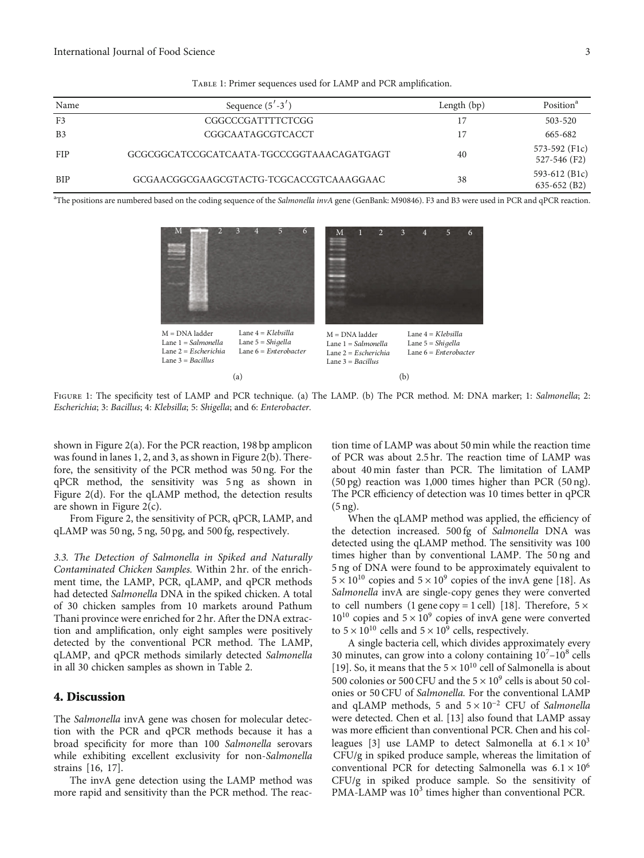<span id="page-2-0"></span>

| Name           | Sequence $(5' - 3')$                      | Length $(bp)$ | Position <sup>a</sup>           |
|----------------|-------------------------------------------|---------------|---------------------------------|
| F <sub>3</sub> | CGGCCCGATTTTCTCGG                         |               | 503-520                         |
| B <sub>3</sub> | CGGCAATAGCGTCACCT                         |               | 665-682                         |
| <b>FIP</b>     | GCGCGGCATCCGCATCAATA-TGCCCGGTAAACAGATGAGT | 40            | 573-592 (F1c)<br>527-546 (F2)   |
| BIP            | GCGAACGGCGAAGCGTACTG-TCGCACCGTCAAAGGAAC   | 38            | 593-612 (B1c)<br>$635-652$ (B2) |

Table 1: Primer sequences used for LAMP and PCR amplification.

<sup>a</sup>The positions are numbered based on the coding sequence of the Salmonella invA gene (GenBank: M90846). F3 and B3 were used in PCR and qPCR reaction.



FIGURE 1: The specificity test of LAMP and PCR technique. (a) The LAMP. (b) The PCR method. M: DNA marker; 1: Salmonella; 2: Escherichia; 3: Bacillus; 4: Klebsilla; 5: Shigella; and 6: Enterobacter.

shown in Figure [2\(a\)](#page-3-0). For the PCR reaction, 198 bp amplicon was found in lanes 1, 2, and 3, as shown in Figure [2\(b\).](#page-3-0) Therefore, the sensitivity of the PCR method was 50 ng. For the qPCR method, the sensitivity was 5 ng as shown in Figure [2\(d\)](#page-3-0). For the qLAMP method, the detection results are shown in Figure  $2(c)$ .

From Figure [2,](#page-3-0) the sensitivity of PCR, qPCR, LAMP, and qLAMP was 50 ng, 5 ng, 50 pg, and 500 fg, respectively.

3.3. The Detection of Salmonella in Spiked and Naturally Contaminated Chicken Samples. Within 2 hr. of the enrichment time, the LAMP, PCR, qLAMP, and qPCR methods had detected Salmonella DNA in the spiked chicken. A total of 30 chicken samples from 10 markets around Pathum Thani province were enriched for 2 hr. After the DNA extraction and amplification, only eight samples were positively detected by the conventional PCR method. The LAMP, qLAMP, and qPCR methods similarly detected Salmonella in all 30 chicken samples as shown in Table [2.](#page-3-0)

#### 4. Discussion

The Salmonella invA gene was chosen for molecular detection with the PCR and qPCR methods because it has a broad specificity for more than 100 Salmonella serovars while exhibiting excellent exclusivity for non-Salmonella strains [[16](#page-5-0), [17](#page-5-0)].

The invA gene detection using the LAMP method was more rapid and sensitivity than the PCR method. The reaction time of LAMP was about 50 min while the reaction time of PCR was about 2.5 hr. The reaction time of LAMP was about 40 min faster than PCR. The limitation of LAMP (50 pg) reaction was 1,000 times higher than PCR (50 ng). The PCR efficiency of detection was 10 times better in qPCR (5 ng).

When the qLAMP method was applied, the efficiency of the detection increased. 500 fg of Salmonella DNA was detected using the qLAMP method. The sensitivity was 100 times higher than by conventional LAMP. The 50 ng and 5 ng of DNA were found to be approximately equivalent to  $5 \times 10^{10}$  copies and  $5 \times 10^9$  copies of the invA gene [\[18\]](#page-5-0). As Salmonella invA are single-copy genes they were converted to cell numbers (1 gene copy = 1 cell) [[18](#page-5-0)]. Therefore,  $5 \times$  $10^{10}$  copies and  $5 \times 10^9$  copies of invA gene were converted to  $5 \times 10^{10}$  cells and  $5 \times 10^{9}$  cells, respectively.

A single bacteria cell, which divides approximately every 30 minutes, can grow into a colony containing  $10^{7}-10^{8}$  cells [\[19\]](#page-5-0). So, it means that the  $5 \times 10^{10}$  cell of Salmonella is about 500 colonies or 500 CFU and the  $5 \times 10^9$  cells is about 50 col-500 colonies or 500 CFU and the 5  $\times$  10<sup>9</sup> cells is about 50 colonies or 50 CFU of *Salmonella*. For the conventional LAMP and qLAMP methods, 5 and  $5 \times 10^{-2}$  CFU of Salmonella were detected. Chen et al. [\[13](#page-4-0)] also found that LAMP assay was more efficient than conventional PCR. Chen and his col-leagues [\[3](#page-4-0)] use LAMP to detect Salmonella at  $6.1 \times 10^3$ CFU/g in spiked produce sample, whereas the limitation of conventional PCR for detecting Salmonella was  $6.1 \times 10^6$ CFU/g in spiked produce sample. So the sensitivity of PMA-LAMP was 10<sup>3</sup> times higher than conventional PCR.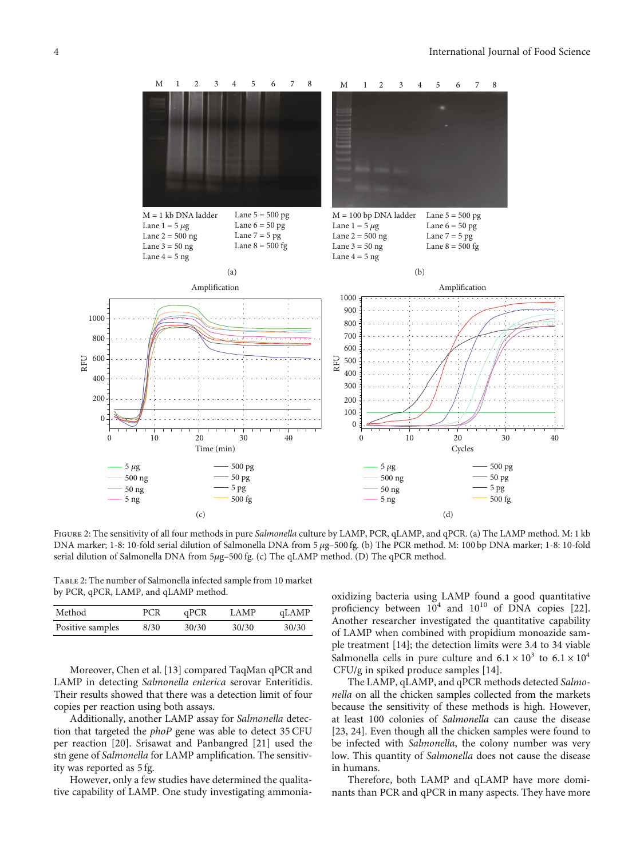<span id="page-3-0"></span>

FIGURE 2: The sensitivity of all four methods in pure Salmonella culture by LAMP, PCR, qLAMP, and qPCR. (a) The LAMP method. M: 1 kb DNA marker; 1-8: 10-fold serial dilution of Salmonella DNA from 5 *μ*g–500 fg. (b) The PCR method. M: 100 bp DNA marker; 1-8: 10-fold serial dilution of Salmonella DNA from 5*μ*g–500 fg. (c) The qLAMP method. (D) The qPCR method.

Table 2: The number of Salmonella infected sample from 10 market by PCR, qPCR, LAMP, and qLAMP method.

| Method           | PCR  | qPCR  | <b>LAMP</b> | qLAMP |
|------------------|------|-------|-------------|-------|
| Positive samples | 8/30 | 30/30 | 30/30       | 30/30 |

Moreover, Chen et al. [\[13\]](#page-4-0) compared TaqMan qPCR and LAMP in detecting Salmonella enterica serovar Enteritidis. Their results showed that there was a detection limit of four copies per reaction using both assays.

Additionally, another LAMP assay for Salmonella detection that targeted the *phoP* gene was able to detect 35 CFU per reaction [\[20\]](#page-5-0). Srisawat and Panbangred [[21](#page-5-0)] used the stn gene of Salmonella for LAMP amplification. The sensitivity was reported as 5 fg.

However, only a few studies have determined the qualitative capability of LAMP. One study investigating ammonia-

oxidizing bacteria using LAMP found a good quantitative proficiency between  $10^4$  and  $10^{10}$  of DNA copies [[22](#page-5-0)]. Another researcher investigated the quantitative capability of LAMP when combined with propidium monoazide sample treatment [[14\]](#page-4-0); the detection limits were 3.4 to 34 viable Salmonella cells in pure culture and  $6.1 \times 10^3$  to  $6.1 \times 10^4$ CFU/g in spiked produce samples [\[14](#page-4-0)].

The LAMP, qLAMP, and qPCR methods detected Salmonella on all the chicken samples collected from the markets because the sensitivity of these methods is high. However, at least 100 colonies of Salmonella can cause the disease [\[23, 24\]](#page-5-0). Even though all the chicken samples were found to be infected with Salmonella, the colony number was very low. This quantity of Salmonella does not cause the disease in humans.

Therefore, both LAMP and qLAMP have more dominants than PCR and qPCR in many aspects. They have more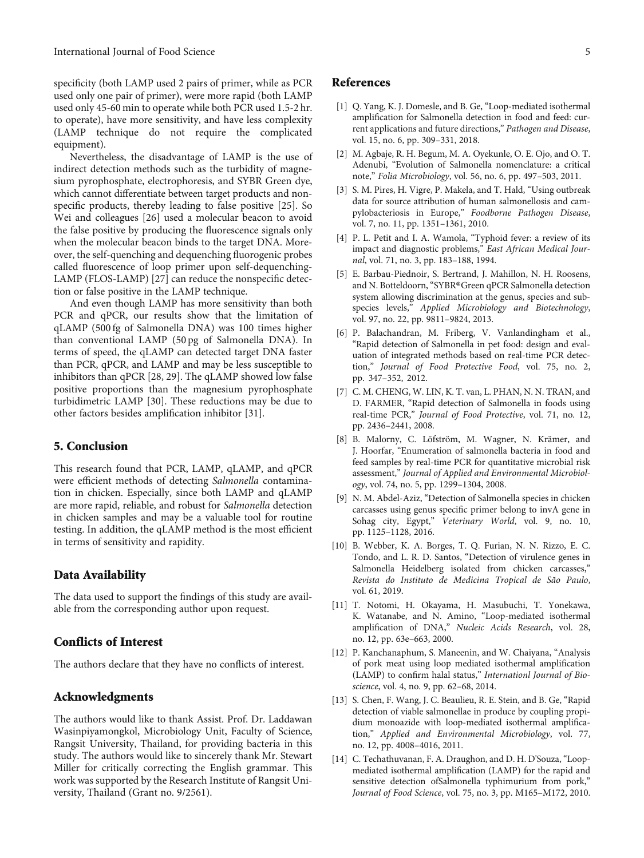<span id="page-4-0"></span>specificity (both LAMP used 2 pairs of primer, while as PCR used only one pair of primer), were more rapid (both LAMP used only 45-60 min to operate while both PCR used 1.5-2 hr. to operate), have more sensitivity, and have less complexity (LAMP technique do not require the complicated equipment).

Nevertheless, the disadvantage of LAMP is the use of indirect detection methods such as the turbidity of magnesium pyrophosphate, electrophoresis, and SYBR Green dye, which cannot differentiate between target products and nonspecific products, thereby leading to false positive [\[25\]](#page-5-0). So Wei and colleagues [\[26\]](#page-5-0) used a molecular beacon to avoid the false positive by producing the fluorescence signals only when the molecular beacon binds to the target DNA. Moreover, the self-quenching and dequenching fluorogenic probes called fluorescence of loop primer upon self-dequenching-LAMP (FLOS-LAMP) [\[27\]](#page-5-0) can reduce the nonspecific detection or false positive in the LAMP technique.

And even though LAMP has more sensitivity than both PCR and qPCR, our results show that the limitation of qLAMP (500 fg of Salmonella DNA) was 100 times higher than conventional LAMP (50 pg of Salmonella DNA). In terms of speed, the qLAMP can detected target DNA faster than PCR, qPCR, and LAMP and may be less susceptible to inhibitors than qPCR [[28](#page-5-0), [29](#page-5-0)]. The qLAMP showed low false positive proportions than the magnesium pyrophosphate turbidimetric LAMP [\[30\]](#page-5-0). These reductions may be due to other factors besides amplification inhibitor [\[31\]](#page-5-0).

#### 5. Conclusion

This research found that PCR, LAMP, qLAMP, and qPCR were efficient methods of detecting Salmonella contamination in chicken. Especially, since both LAMP and qLAMP are more rapid, reliable, and robust for Salmonella detection in chicken samples and may be a valuable tool for routine testing. In addition, the qLAMP method is the most efficient in terms of sensitivity and rapidity.

#### Data Availability

The data used to support the findings of this study are available from the corresponding author upon request.

#### Conflicts of Interest

The authors declare that they have no conflicts of interest.

#### Acknowledgments

The authors would like to thank Assist. Prof. Dr. Laddawan Wasinpiyamongkol, Microbiology Unit, Faculty of Science, Rangsit University, Thailand, for providing bacteria in this study. The authors would like to sincerely thank Mr. Stewart Miller for critically correcting the English grammar. This work was supported by the Research Institute of Rangsit University, Thailand (Grant no. 9/2561).

#### References

- [1] Q. Yang, K. J. Domesle, and B. Ge, "Loop-mediated isothermal amplification for Salmonella detection in food and feed: current applications and future directions," Pathogen and Disease, vol. 15, no. 6, pp. 309–331, 2018.
- [2] M. Agbaje, R. H. Begum, M. A. Oyekunle, O. E. Ojo, and O. T. Adenubi, "Evolution of Salmonella nomenclature: a critical note," Folia Microbiology, vol. 56, no. 6, pp. 497–503, 2011.
- [3] S. M. Pires, H. Vigre, P. Makela, and T. Hald, "Using outbreak data for source attribution of human salmonellosis and campylobacteriosis in Europe," Foodborne Pathogen Disease, vol. 7, no. 11, pp. 1351–1361, 2010.
- [4] P. L. Petit and I. A. Wamola, "Typhoid fever: a review of its impact and diagnostic problems," East African Medical Journal, vol. 71, no. 3, pp. 183–188, 1994.
- [5] E. Barbau-Piednoir, S. Bertrand, J. Mahillon, N. H. Roosens, and N. Botteldoorn,"SYBR®Green qPCR Salmonella detection system allowing discrimination at the genus, species and subspecies levels," Applied Microbiology and Biotechnology, vol. 97, no. 22, pp. 9811–9824, 2013.
- [6] P. Balachandran, M. Friberg, V. Vanlandingham et al., "Rapid detection of Salmonella in pet food: design and evaluation of integrated methods based on real-time PCR detection," Journal of Food Protective Food, vol. 75, no. 2, pp. 347–352, 2012.
- [7] C. M. CHENG, W. LIN, K. T. van, L. PHAN, N. N. TRAN, and D. FARMER, "Rapid detection of Salmonella in foods using real-time PCR," Journal of Food Protective, vol. 71, no. 12, pp. 2436–2441, 2008.
- [8] B. Malorny, C. Löfström, M. Wagner, N. Krämer, and J. Hoorfar, "Enumeration of salmonella bacteria in food and feed samples by real-time PCR for quantitative microbial risk assessment," Journal of Applied and Environmental Microbiology, vol. 74, no. 5, pp. 1299–1304, 2008.
- [9] N. M. Abdel-Aziz, "Detection of Salmonella species in chicken carcasses using genus specific primer belong to invA gene in Sohag city, Egypt," Veterinary World, vol. 9, no. 10, pp. 1125–1128, 2016.
- [10] B. Webber, K. A. Borges, T. Q. Furian, N. N. Rizzo, E. C. Tondo, and L. R. D. Santos, "Detection of virulence genes in Salmonella Heidelberg isolated from chicken carcasses," Revista do Instituto de Medicina Tropical de São Paulo, vol. 61, 2019.
- [11] T. Notomi, H. Okayama, H. Masubuchi, T. Yonekawa, K. Watanabe, and N. Amino, "Loop-mediated isothermal amplification of DNA," Nucleic Acids Research, vol. 28, no. 12, pp. 63e–663, 2000.
- [12] P. Kanchanaphum, S. Maneenin, and W. Chaiyana, "Analysis of pork meat using loop mediated isothermal amplification (LAMP) to confirm halal status," Internationl Journal of Bioscience, vol. 4, no. 9, pp. 62–68, 2014.
- [13] S. Chen, F. Wang, J. C. Beaulieu, R. E. Stein, and B. Ge, "Rapid detection of viable salmonellae in produce by coupling propidium monoazide with loop-mediated isothermal amplification," Applied and Environmental Microbiology, vol. 77, no. 12, pp. 4008–4016, 2011.
- [14] C. Techathuvanan, F. A. Draughon, and D. H. D'Souza, "Loopmediated isothermal amplification (LAMP) for the rapid and sensitive detection ofSalmonella typhimurium from pork," Journal of Food Science, vol. 75, no. 3, pp. M165–M172, 2010.